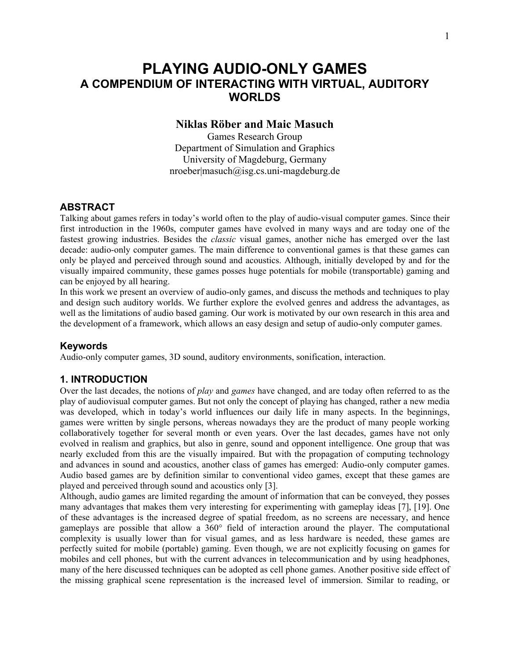# **PLAYING AUDIO-ONLY GAMES A COMPENDIUM OF INTERACTING WITH VIRTUAL, AUDITORY WORLDS**

## **Niklas Röber and Maic Masuch**

Games Research Group Department of Simulation and Graphics University of Magdeburg, Germany nroeber|masuch@isg.cs.uni-magdeburg.de

## **ABSTRACT**

Talking about games refers in today's world often to the play of audio-visual computer games. Since their first introduction in the 1960s, computer games have evolved in many ways and are today one of the fastest growing industries. Besides the *classic* visual games, another niche has emerged over the last decade: audio-only computer games. The main difference to conventional games is that these games can only be played and perceived through sound and acoustics. Although, initially developed by and for the visually impaired community, these games posses huge potentials for mobile (transportable) gaming and can be enjoyed by all hearing.

In this work we present an overview of audio-only games, and discuss the methods and techniques to play and design such auditory worlds. We further explore the evolved genres and address the advantages, as well as the limitations of audio based gaming. Our work is motivated by our own research in this area and the development of a framework, which allows an easy design and setup of audio-only computer games.

#### **Keywords**

Audio-only computer games, 3D sound, auditory environments, sonification, interaction.

#### **1. INTRODUCTION**

Over the last decades, the notions of *play* and *games* have changed, and are today often referred to as the play of audiovisual computer games. But not only the concept of playing has changed, rather a new media was developed, which in today's world influences our daily life in many aspects. In the beginnings, games were written by single persons, whereas nowadays they are the product of many people working collaboratively together for several month or even years. Over the last decades, games have not only evolved in realism and graphics, but also in genre, sound and opponent intelligence. One group that was nearly excluded from this are the visually impaired. But with the propagation of computing technology and advances in sound and acoustics, another class of games has emerged: Audio-only computer games. Audio based games are by definition similar to conventional video games, except that these games are played and perceived through sound and acoustics only [3].

Although, audio games are limited regarding the amount of information that can be conveyed, they posses many advantages that makes them very interesting for experimenting with gameplay ideas [7], [19]. One of these advantages is the increased degree of spatial freedom, as no screens are necessary, and hence gameplays are possible that allow a 360° field of interaction around the player. The computational complexity is usually lower than for visual games, and as less hardware is needed, these games are perfectly suited for mobile (portable) gaming. Even though, we are not explicitly focusing on games for mobiles and cell phones, but with the current advances in telecommunication and by using headphones, many of the here discussed techniques can be adopted as cell phone games. Another positive side effect of the missing graphical scene representation is the increased level of immersion. Similar to reading, or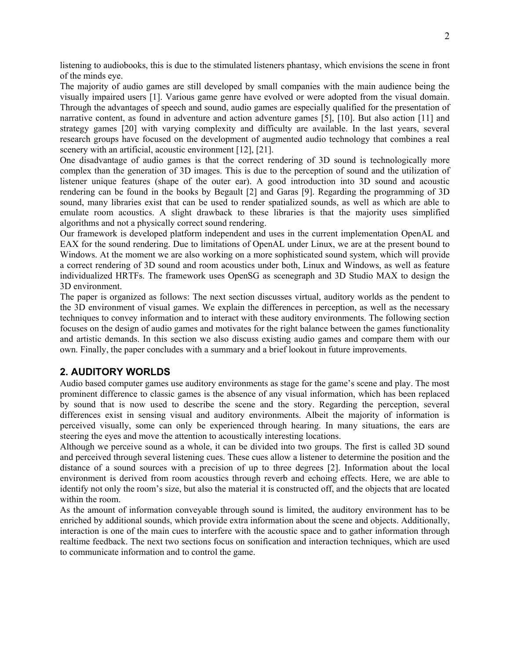listening to audiobooks, this is due to the stimulated listeners phantasy, which envisions the scene in front of the minds eye.

The majority of audio games are still developed by small companies with the main audience being the visually impaired users [1]. Various game genre have evolved or were adopted from the visual domain. Through the advantages of speech and sound, audio games are especially qualified for the presentation of narrative content, as found in adventure and action adventure games [5], [10]. But also action [11] and strategy games [20] with varying complexity and difficulty are available. In the last years, several research groups have focused on the development of augmented audio technology that combines a real scenery with an artificial, acoustic environment [12], [21].

One disadvantage of audio games is that the correct rendering of 3D sound is technologically more complex than the generation of 3D images. This is due to the perception of sound and the utilization of listener unique features (shape of the outer ear). A good introduction into 3D sound and acoustic rendering can be found in the books by Begault [2] and Garas [9]. Regarding the programming of 3D sound, many libraries exist that can be used to render spatialized sounds, as well as which are able to emulate room acoustics. A slight drawback to these libraries is that the majority uses simplified algorithms and not a physically correct sound rendering.

Our framework is developed platform independent and uses in the current implementation OpenAL and EAX for the sound rendering. Due to limitations of OpenAL under Linux, we are at the present bound to Windows. At the moment we are also working on a more sophisticated sound system, which will provide a correct rendering of 3D sound and room acoustics under both, Linux and Windows, as well as feature individualized HRTFs. The framework uses OpenSG as scenegraph and 3D Studio MAX to design the 3D environment.

The paper is organized as follows: The next section discusses virtual, auditory worlds as the pendent to the 3D environment of visual games. We explain the differences in perception, as well as the necessary techniques to convey information and to interact with these auditory environments. The following section focuses on the design of audio games and motivates for the right balance between the games functionality and artistic demands. In this section we also discuss existing audio games and compare them with our own. Finally, the paper concludes with a summary and a brief lookout in future improvements.

### **2. AUDITORY WORLDS**

Audio based computer games use auditory environments as stage for the game's scene and play. The most prominent difference to classic games is the absence of any visual information, which has been replaced by sound that is now used to describe the scene and the story. Regarding the perception, several differences exist in sensing visual and auditory environments. Albeit the majority of information is perceived visually, some can only be experienced through hearing. In many situations, the ears are steering the eyes and move the attention to acoustically interesting locations.

Although we perceive sound as a whole, it can be divided into two groups. The first is called 3D sound and perceived through several listening cues. These cues allow a listener to determine the position and the distance of a sound sources with a precision of up to three degrees [2]. Information about the local environment is derived from room acoustics through reverb and echoing effects. Here, we are able to identify not only the room's size, but also the material it is constructed off, and the objects that are located within the room.

As the amount of information conveyable through sound is limited, the auditory environment has to be enriched by additional sounds, which provide extra information about the scene and objects. Additionally, interaction is one of the main cues to interfere with the acoustic space and to gather information through realtime feedback. The next two sections focus on sonification and interaction techniques, which are used to communicate information and to control the game.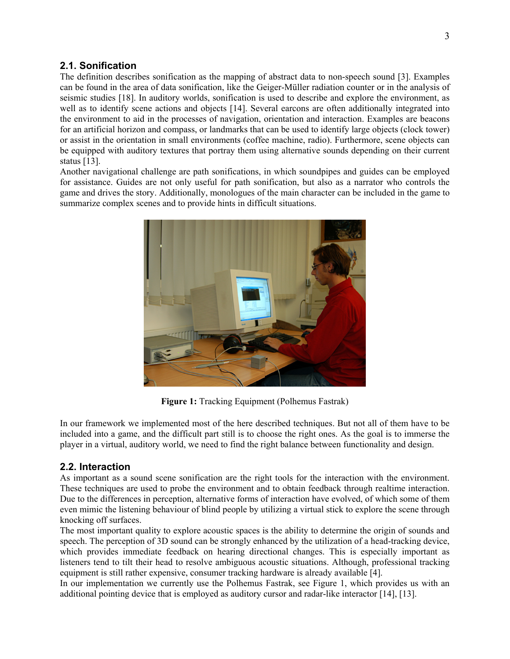## **2.1. Sonification**

The definition describes sonification as the mapping of abstract data to non-speech sound [3]. Examples can be found in the area of data sonification, like the Geiger-Müller radiation counter or in the analysis of seismic studies [18]. In auditory worlds, sonification is used to describe and explore the environment, as well as to identify scene actions and objects [14]. Several earcons are often additionally integrated into the environment to aid in the processes of navigation, orientation and interaction. Examples are beacons for an artificial horizon and compass, or landmarks that can be used to identify large objects (clock tower) or assist in the orientation in small environments (coffee machine, radio). Furthermore, scene objects can be equipped with auditory textures that portray them using alternative sounds depending on their current status [13].

Another navigational challenge are path sonifications, in which soundpipes and guides can be employed for assistance. Guides are not only useful for path sonification, but also as a narrator who controls the game and drives the story. Additionally, monologues of the main character can be included in the game to summarize complex scenes and to provide hints in difficult situations.



**Figure 1:** Tracking Equipment (Polhemus Fastrak)

In our framework we implemented most of the here described techniques. But not all of them have to be included into a game, and the difficult part still is to choose the right ones. As the goal is to immerse the player in a virtual, auditory world, we need to find the right balance between functionality and design.

## **2.2. Interaction**

As important as a sound scene sonification are the right tools for the interaction with the environment. These techniques are used to probe the environment and to obtain feedback through realtime interaction. Due to the differences in perception, alternative forms of interaction have evolved, of which some of them even mimic the listening behaviour of blind people by utilizing a virtual stick to explore the scene through knocking off surfaces.

The most important quality to explore acoustic spaces is the ability to determine the origin of sounds and speech. The perception of 3D sound can be strongly enhanced by the utilization of a head-tracking device, which provides immediate feedback on hearing directional changes. This is especially important as listeners tend to tilt their head to resolve ambiguous acoustic situations. Although, professional tracking equipment is still rather expensive, consumer tracking hardware is already available [4].

In our implementation we currently use the Polhemus Fastrak, see Figure 1, which provides us with an additional pointing device that is employed as auditory cursor and radar-like interactor [14], [13].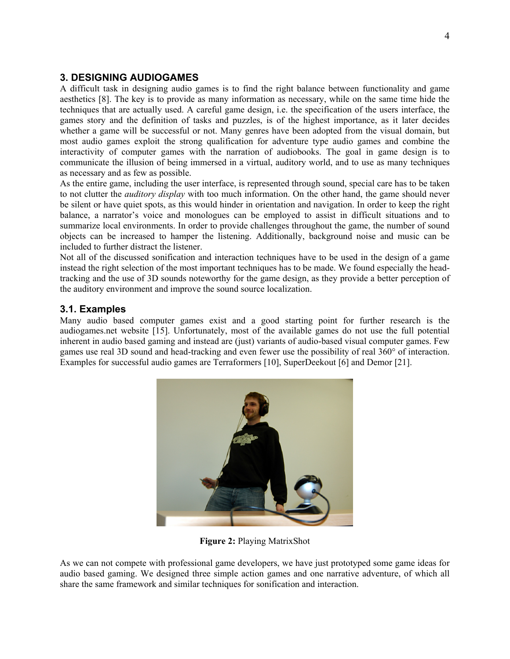## **3. DESIGNING AUDIOGAMES**

A difficult task in designing audio games is to find the right balance between functionality and game aesthetics [8]. The key is to provide as many information as necessary, while on the same time hide the techniques that are actually used. A careful game design, i.e. the specification of the users interface, the games story and the definition of tasks and puzzles, is of the highest importance, as it later decides whether a game will be successful or not. Many genres have been adopted from the visual domain, but most audio games exploit the strong qualification for adventure type audio games and combine the interactivity of computer games with the narration of audiobooks. The goal in game design is to communicate the illusion of being immersed in a virtual, auditory world, and to use as many techniques as necessary and as few as possible.

As the entire game, including the user interface, is represented through sound, special care has to be taken to not clutter the *auditory display* with too much information. On the other hand, the game should never be silent or have quiet spots, as this would hinder in orientation and navigation. In order to keep the right balance, a narrator's voice and monologues can be employed to assist in difficult situations and to summarize local environments. In order to provide challenges throughout the game, the number of sound objects can be increased to hamper the listening. Additionally, background noise and music can be included to further distract the listener.

Not all of the discussed sonification and interaction techniques have to be used in the design of a game instead the right selection of the most important techniques has to be made. We found especially the headtracking and the use of 3D sounds noteworthy for the game design, as they provide a better perception of the auditory environment and improve the sound source localization.

## **3.1. Examples**

Many audio based computer games exist and a good starting point for further research is the audiogames.net website [15]. Unfortunately, most of the available games do not use the full potential inherent in audio based gaming and instead are (just) variants of audio-based visual computer games. Few games use real 3D sound and head-tracking and even fewer use the possibility of real 360° of interaction. Examples for successful audio games are Terraformers [10], SuperDeekout [6] and Demor [21].



**Figure 2:** Playing MatrixShot

As we can not compete with professional game developers, we have just prototyped some game ideas for audio based gaming. We designed three simple action games and one narrative adventure, of which all share the same framework and similar techniques for sonification and interaction.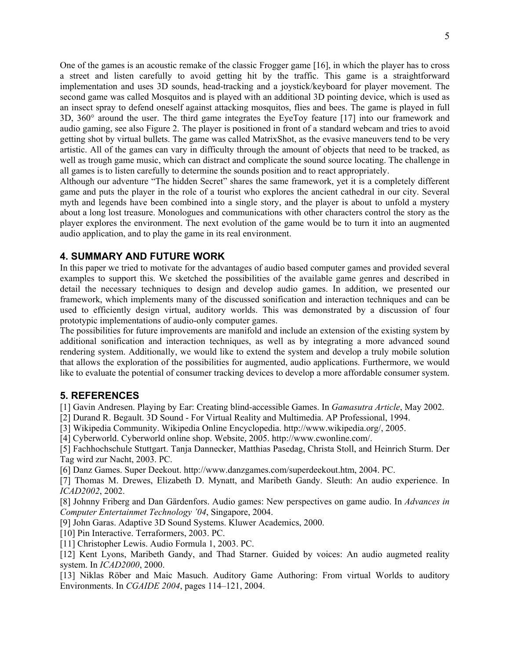One of the games is an acoustic remake of the classic Frogger game [16], in which the player has to cross a street and listen carefully to avoid getting hit by the traffic. This game is a straightforward implementation and uses 3D sounds, head-tracking and a joystick/keyboard for player movement. The second game was called Mosquitos and is played with an additional 3D pointing device, which is used as an insect spray to defend oneself against attacking mosquitos, flies and bees. The game is played in full 3D, 360° around the user. The third game integrates the EyeToy feature [17] into our framework and audio gaming, see also Figure 2. The player is positioned in front of a standard webcam and tries to avoid getting shot by virtual bullets. The game was called MatrixShot, as the evasive maneuvers tend to be very artistic. All of the games can vary in difficulty through the amount of objects that need to be tracked, as well as trough game music, which can distract and complicate the sound source locating. The challenge in all games is to listen carefully to determine the sounds position and to react appropriately.

Although our adventure "The hidden Secret" shares the same framework, yet it is a completely different game and puts the player in the role of a tourist who explores the ancient cathedral in our city. Several myth and legends have been combined into a single story, and the player is about to unfold a mystery about a long lost treasure. Monologues and communications with other characters control the story as the player explores the environment. The next evolution of the game would be to turn it into an augmented audio application, and to play the game in its real environment.

#### **4. SUMMARY AND FUTURE WORK**

In this paper we tried to motivate for the advantages of audio based computer games and provided several examples to support this. We sketched the possibilities of the available game genres and described in detail the necessary techniques to design and develop audio games. In addition, we presented our framework, which implements many of the discussed sonification and interaction techniques and can be used to efficiently design virtual, auditory worlds. This was demonstrated by a discussion of four prototypic implementations of audio-only computer games.

The possibilities for future improvements are manifold and include an extension of the existing system by additional sonification and interaction techniques, as well as by integrating a more advanced sound rendering system. Additionally, we would like to extend the system and develop a truly mobile solution that allows the exploration of the possibilities for augmented, audio applications. Furthermore, we would like to evaluate the potential of consumer tracking devices to develop a more affordable consumer system.

#### **5. REFERENCES**

[1] Gavin Andresen. Playing by Ear: Creating blind-accessible Games. In *Gamasutra Article*, May 2002.

[2] Durand R. Begault. 3D Sound - For Virtual Reality and Multimedia. AP Professional, 1994.

[3] Wikipedia Community. Wikipedia Online Encyclopedia. http://www.wikipedia.org/, 2005.

[4] Cyberworld. Cyberworld online shop. Website, 2005. http://www.cwonline.com/.

[5] Fachhochschule Stuttgart. Tanja Dannecker, Matthias Pasedag, Christa Stoll, and Heinrich Sturm. Der Tag wird zur Nacht, 2003. PC.

[6] Danz Games. Super Deekout. http://www.danzgames.com/superdeekout.htm, 2004. PC.

[7] Thomas M. Drewes, Elizabeth D. Mynatt, and Maribeth Gandy. Sleuth: An audio experience. In *ICAD2002*, 2002.

[8] Johnny Friberg and Dan Gärdenfors. Audio games: New perspectives on game audio. In *Advances in Computer Entertainmet Technology '04*, Singapore, 2004.

[9] John Garas. Adaptive 3D Sound Systems. Kluwer Academics, 2000.

[10] Pin Interactive. Terraformers, 2003. PC.

[11] Christopher Lewis. Audio Formula 1, 2003. PC.

[12] Kent Lyons, Maribeth Gandy, and Thad Starner. Guided by voices: An audio augmeted reality system. In *ICAD2000*, 2000.

[13] Niklas Röber and Maic Masuch. Auditory Game Authoring: From virtual Worlds to auditory Environments. In *CGAIDE 2004*, pages 114–121, 2004.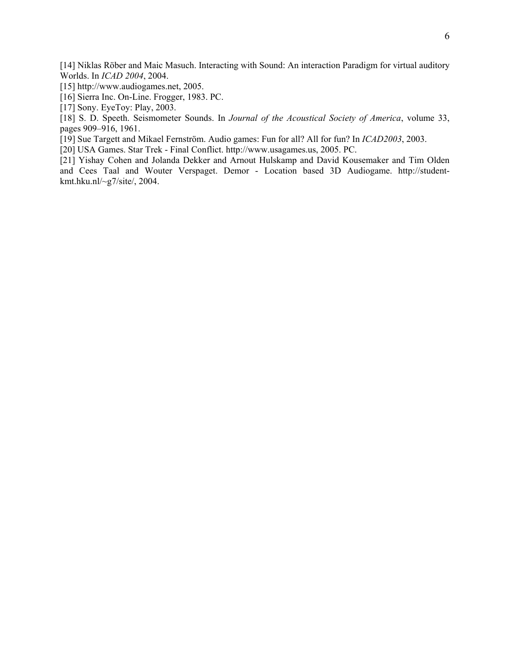[14] Niklas Röber and Maic Masuch. Interacting with Sound: An interaction Paradigm for virtual auditory Worlds. In *ICAD 2004*, 2004.

[15] http://www.audiogames.net, 2005.

[16] Sierra Inc. On-Line. Frogger, 1983. PC.

[17] Sony. EyeToy: Play, 2003.

[18] S. D. Speeth. Seismometer Sounds. In *Journal of the Acoustical Society of America*, volume 33, pages 909–916, 1961.

[19] Sue Targett and Mikael Fernström. Audio games: Fun for all? All for fun? In *ICAD2003*, 2003.

[20] USA Games. Star Trek - Final Conflict. http://www.usagames.us, 2005. PC.

[21] Yishay Cohen and Jolanda Dekker and Arnout Hulskamp and David Kousemaker and Tim Olden and Cees Taal and Wouter Verspaget. Demor - Location based 3D Audiogame. http://studentkmt.hku.nl/~g7/site/, 2004.